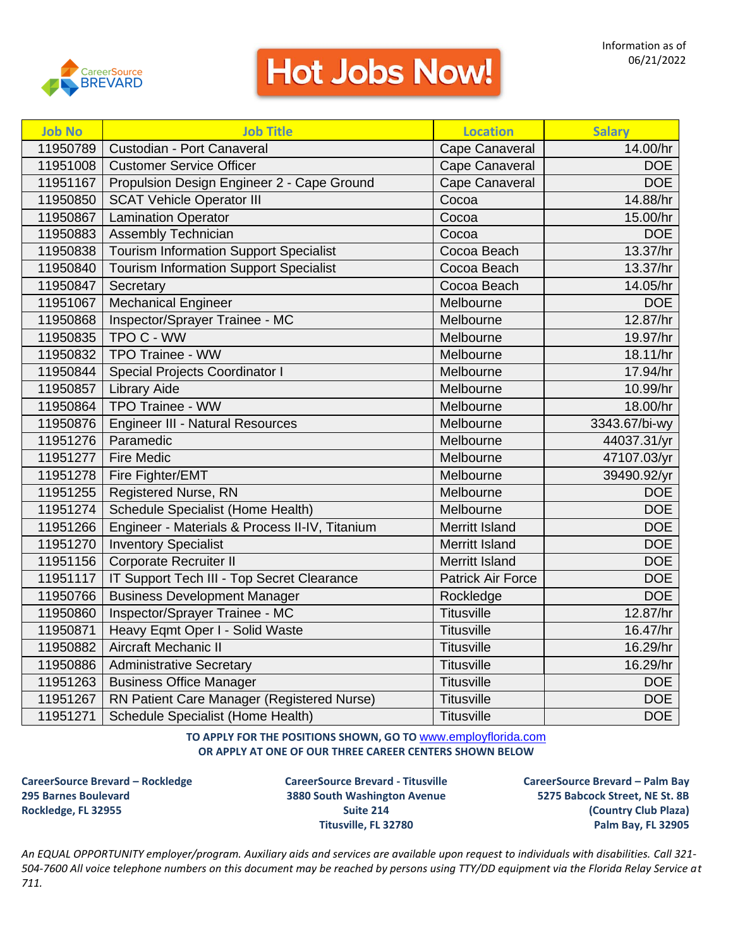

| <b>Job No</b> | <b>Job Title</b>                               | <b>Location</b>          | <b>Salary</b>          |
|---------------|------------------------------------------------|--------------------------|------------------------|
| 11950789      | Custodian - Port Canaveral                     | Cape Canaveral           | $\overline{1}4.00$ /hr |
| 11951008      | <b>Customer Service Officer</b>                | Cape Canaveral           | <b>DOE</b>             |
| 11951167      | Propulsion Design Engineer 2 - Cape Ground     | Cape Canaveral           | DOE                    |
| 11950850      | <b>SCAT Vehicle Operator III</b>               | Cocoa                    | 14.88/hr               |
| 11950867      | <b>Lamination Operator</b>                     | Cocoa                    | 15.00/hr               |
| 11950883      | Assembly Technician                            | Cocoa                    | <b>DOE</b>             |
| 11950838      | <b>Tourism Information Support Specialist</b>  | Cocoa Beach              | 13.37/hr               |
| 11950840      | <b>Tourism Information Support Specialist</b>  | Cocoa Beach              | 13.37/hr               |
| 11950847      | Secretary                                      | Cocoa Beach              | 14.05/hr               |
| 11951067      | <b>Mechanical Engineer</b>                     | Melbourne                | <b>DOE</b>             |
| 11950868      | Inspector/Sprayer Trainee - MC                 | Melbourne                | 12.87/hr               |
| 11950835      | TPO C - WW                                     | Melbourne                | 19.97/hr               |
| 11950832      | <b>TPO Trainee - WW</b>                        | Melbourne                | 18.11/hr               |
| 11950844      | <b>Special Projects Coordinator I</b>          | Melbourne                | 17.94/hr               |
| 11950857      | <b>Library Aide</b>                            | Melbourne                | 10.99/hr               |
| 11950864      | <b>TPO Trainee - WW</b>                        | Melbourne                | 18.00/hr               |
| 11950876      | Engineer III - Natural Resources               | Melbourne                | 3343.67/bi-wy          |
| 11951276      | Paramedic                                      | Melbourne                | 44037.31/yr            |
| 11951277      | <b>Fire Medic</b>                              | Melbourne                | 47107.03/yr            |
| 11951278      | Fire Fighter/EMT                               | Melbourne                | 39490.92/yr            |
| 11951255      | Registered Nurse, RN                           | Melbourne                | DOE                    |
| 11951274      | Schedule Specialist (Home Health)              | Melbourne                | <b>DOE</b>             |
| 11951266      | Engineer - Materials & Process II-IV, Titanium | <b>Merritt Island</b>    | <b>DOE</b>             |
| 11951270      | <b>Inventory Specialist</b>                    | <b>Merritt Island</b>    | <b>DOE</b>             |
| 11951156      | <b>Corporate Recruiter II</b>                  | <b>Merritt Island</b>    | <b>DOE</b>             |
| 11951117      | IT Support Tech III - Top Secret Clearance     | <b>Patrick Air Force</b> | <b>DOE</b>             |
| 11950766      | <b>Business Development Manager</b>            | Rockledge                | <b>DOE</b>             |
| 11950860      | Inspector/Sprayer Trainee - MC                 | <b>Titusville</b>        | 12.87/hr               |
| 11950871      | Heavy Eqmt Oper I - Solid Waste                | <b>Titusville</b>        | 16.47/hr               |
| 11950882      | <b>Aircraft Mechanic II</b>                    | <b>Titusville</b>        | 16.29/hr               |
| 11950886      | <b>Administrative Secretary</b>                | <b>Titusville</b>        | 16.29/hr               |
| 11951263      | <b>Business Office Manager</b>                 | <b>Titusville</b>        | <b>DOE</b>             |
| 11951267      | RN Patient Care Manager (Registered Nurse)     | <b>Titusville</b>        | DOE                    |
| 11951271      | Schedule Specialist (Home Health)              | <b>Titusville</b>        | <b>DOE</b>             |

**TO APPLY FOR THE POSITIONS SHOWN, GO TO** [www.employflorida.com](http://www.employflorida.com/) **OR APPLY AT ONE OF OUR THREE CAREER CENTERS SHOWN BELOW**

**CareerSource Brevard – Rockledge CareerSource Brevard - Titusville CareerSource Brevard – Palm Bay 295 Barnes Boulevard 3880 South Washington Avenue 5275 Babcock Street, NE St. 8B Rockledge, FL 32955 Suite 214 (Country Club Plaza)**

**Titusville, FL 32780 Palm Bay, FL 32905**

*An EQUAL OPPORTUNITY employer/program. Auxiliary aids and services are available upon request to individuals with disabilities. Call 321- 504-7600 All voice telephone numbers on this document may be reached by persons using TTY/DD equipment via the Florida Relay Service at 711.*